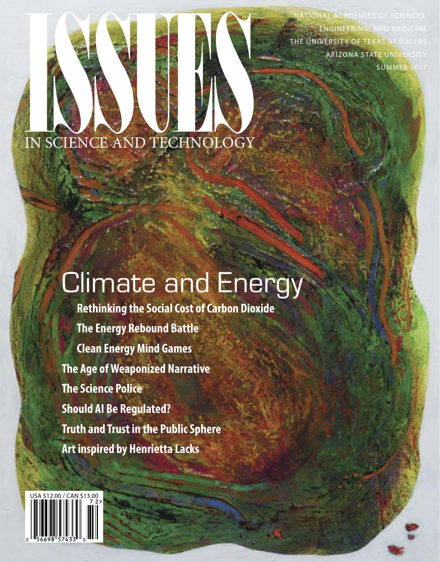TIONAL ACADEMIES OF SCIENCES, ENGINEERING, AND MEDICINE THE UNIVERSITY OF TEXAS AT DALLAS ARIZONA STATE UNIVERSITY SUMMER 2017

### IN SCIENCE AND TECHNO

# Climate and Energy

**Rethinking the Social Cost of Carbon Dioxide The Energy Rebound Battle Clean Energy Mind Games The Age of Weaponized Narrative The Science Police Should AI Be Regulated? Truth and Trust in the Public Sphere Art inspired by Henrietta Lacks**

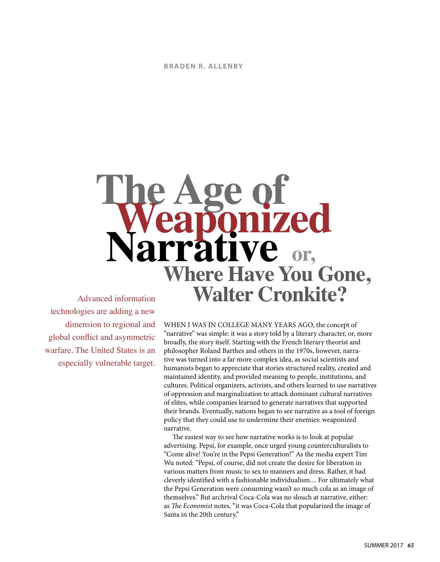## Advanced information **The Age of Weaponized Narrative rrative** or, **Where Have You Gone, Walter Cronkite?**

technologies are adding a new dimension to regional and global conflict and asymmetric warfare. The United States is an especially vulnerable target.

WHEN I WAS IN COLLEGE MANY YEARS AGO, the concept of "narrative" was simple: it was a story told by a literary character, or, more broadly, the story itself. Starting with the French literary theorist and philosopher Roland Barthes and others in the 1970s, however, narrative was turned into a far more complex idea, as social scientists and humanists began to appreciate that stories structured reality, created and maintained identity, and provided meaning to people, institutions, and cultures. Political organizers, activists, and others learned to use narratives of oppression and marginalization to attack dominant cultural narratives of elites, while companies learned to generate narratives that supported their brands. Eventually, nations began to see narrative as a tool of foreign policy that they could use to undermine their enemies: weaponized narrative.

The easiest way to see how narrative works is to look at popular advertising. Pepsi, for example, once urged young counterculturalists to "Come alive! You're in the Pepsi Generation!" As the media expert Tim Wu noted: "Pepsi, of course, did not create the desire for liberation in various matters from music to sex to manners and dress. Rather, it had cleverly identified with a fashionable individualism.... For ultimately what the Pepsi Generation were consuming wasn't so much cola as an image of themselves." But archrival Coca-Cola was no slouch at narrative, either: as *The Economist* notes, "it was Coca-Cola that popularized the image of Santa in the 20th century."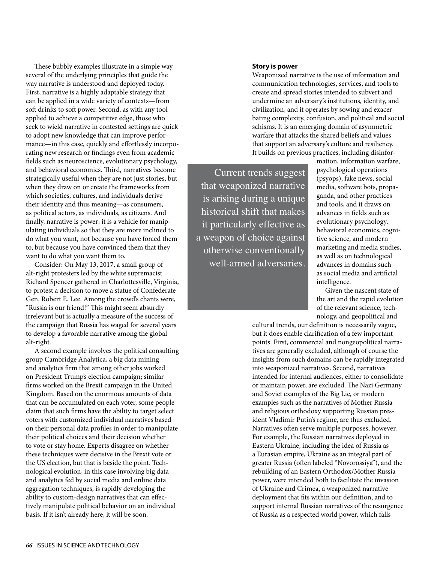These bubbly examples illustrate in a simple way several of the underlying principles that guide the way narrative is understood and deployed today. First, narrative is a highly adaptable strategy that can be applied in a wide variety of contexts—from soft drinks to soft power. Second, as with any tool applied to achieve a competitive edge, those who seek to wield narrative in contested settings are quick to adopt new knowledge that can improve performance—in this case, quickly and effortlessly incorporating new research or findings even from academic fields such as neuroscience, evolutionary psychology, and behavioral economics. Third, narratives become strategically useful when they are not just stories, but when they draw on or create the frameworks from which societies, cultures, and individuals derive their identity and thus meaning—as consumers, as political actors, as individuals, as citizens. And finally, narrative is power: it is a vehicle for manipulating individuals so that they are more inclined to do what you want, not because you have forced them to, but because you have convinced them that they want to do what you want them to.

Consider: On May 13, 2017, a small group of alt-right protesters led by the white supremacist Richard Spencer gathered in Charlottesville, Virginia, to protest a decision to move a statue of Confederate Gen. Robert E. Lee. Among the crowd's chants were, "Russia is our friend!" This might seem absurdly irrelevant but is actually a measure of the success of the campaign that Russia has waged for several years to develop a favorable narrative among the global alt-right.

A second example involves the political consulting group Cambridge Analytica, a big data mining and analytics firm that among other jobs worked on President Trump's election campaign; similar firms worked on the Brexit campaign in the United Kingdom. Based on the enormous amounts of data that can be accumulated on each voter, some people claim that such firms have the ability to target select voters with customized individual narratives based on their personal data profiles in order to manipulate their political choices and their decision whether to vote or stay home. Experts disagree on whether these techniques were decisive in the Brexit vote or the US election, but that is beside the point. Technological evolution, in this case involving big data and analytics fed by social media and online data aggregation techniques, is rapidly developing the ability to custom-design narratives that can effectively manipulate political behavior on an individual basis. If it isn't already here, it will be soon.

#### **Story is power**

Weaponized narrative is the use of information and communication technologies, services, and tools to create and spread stories intended to subvert and undermine an adversary's institutions, identity, and civilization, and it operates by sowing and exacerbating complexity, confusion, and political and social schisms. It is an emerging domain of asymmetric warfare that attacks the shared beliefs and values that support an adversary's culture and resiliency. It builds on previous practices, including disinfor-

Current trends suggest that weaponized narrative is arising during a unique historical shift that makes it particularly effective as a weapon of choice against otherwise conventionally well-armed adversaries.

mation, information warfare, psychological operations (psyops), fake news, social media, software bots, propaganda, and other practices and tools, and it draws on advances in fields such as evolutionary psychology, behavioral economics, cognitive science, and modern marketing and media studies, as well as on technological advances in domains such as social media and artificial intelligence.

Given the nascent state of the art and the rapid evolution of the relevant science, technology, and geopolitical and

cultural trends, our definition is necessarily vague, but it does enable clarification of a few important points. First, commercial and nongeopolitical narratives are generally excluded, although of course the insights from such domains can be rapidly integrated into weaponized narratives. Second, narratives intended for internal audiences, either to consolidate or maintain power, are excluded. The Nazi Germany and Soviet examples of the Big Lie, or modern examples such as the narratives of Mother Russia and religious orthodoxy supporting Russian president Vladimir Putin's regime, are thus excluded. Narratives often serve multiple purposes, however. For example, the Russian narratives deployed in Eastern Ukraine, including the idea of Russia as a Eurasian empire, Ukraine as an integral part of greater Russia (often labeled "Novorossiya"), and the rebuilding of an Eastern Orthodox/Mother Russia power, were intended both to facilitate the invasion of Ukraine and Crimea, a weaponized narrative deployment that fits within our definition, and to support internal Russian narratives of the resurgence of Russia as a respected world power, which falls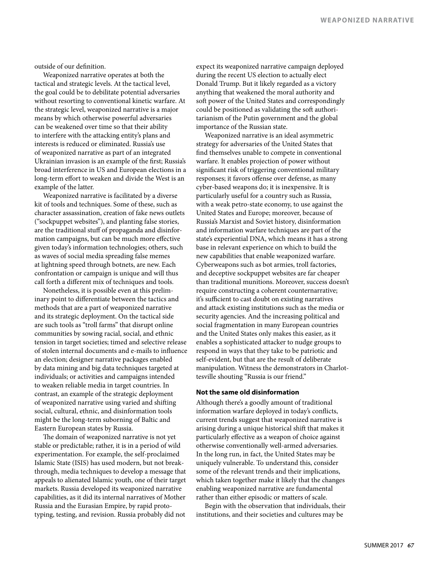outside of our definition.

Weaponized narrative operates at both the tactical and strategic levels. At the tactical level, the goal could be to debilitate potential adversaries without resorting to conventional kinetic warfare. At the strategic level, weaponized narrative is a major means by which otherwise powerful adversaries can be weakened over time so that their ability to interfere with the attacking entity's plans and interests is reduced or eliminated. Russia's use of weaponized narrative as part of an integrated Ukrainian invasion is an example of the first; Russia's broad interference in US and European elections in a long-term effort to weaken and divide the West is an example of the latter.

Weaponized narrative is facilitated by a diverse kit of tools and techniques. Some of these, such as character assassination, creation of fake news outlets ("sockpuppet websites"), and planting false stories, are the traditional stuff of propaganda and disinformation campaigns, but can be much more effective given today's information technologies; others, such as waves of social media spreading false memes at lightning speed through botnets, are new. Each confrontation or campaign is unique and will thus call forth a different mix of techniques and tools.

Nonetheless, it is possible even at this preliminary point to differentiate between the tactics and methods that are a part of weaponized narrative and its strategic deployment. On the tactical side are such tools as "troll farms" that disrupt online communities by sowing racial, social, and ethnic tension in target societies; timed and selective release of stolen internal documents and e-mails to influence an election; designer narrative packages enabled by data mining and big data techniques targeted at individuals; or activities and campaigns intended to weaken reliable media in target countries. In contrast, an example of the strategic deployment of weaponized narrative using varied and shifting social, cultural, ethnic, and disinformation tools might be the long-term suborning of Baltic and Eastern European states by Russia.

The domain of weaponized narrative is not yet stable or predictable; rather, it is in a period of wild experimentation. For example, the self-proclaimed Islamic State (ISIS) has used modern, but not breakthrough, media techniques to develop a message that appeals to alienated Islamic youth, one of their target markets. Russia developed its weaponized narrative capabilities, as it did its internal narratives of Mother Russia and the Eurasian Empire, by rapid prototyping, testing, and revision. Russia probably did not expect its weaponized narrative campaign deployed during the recent US election to actually elect Donald Trump. But it likely regarded as a victory anything that weakened the moral authority and soft power of the United States and correspondingly could be positioned as validating the soft authoritarianism of the Putin government and the global importance of the Russian state.

Weaponized narrative is an ideal asymmetric strategy for adversaries of the United States that find themselves unable to compete in conventional warfare. It enables projection of power without significant risk of triggering conventional military responses; it favors offense over defense, as many cyber-based weapons do; it is inexpensive. It is particularly useful for a country such as Russia, with a weak petro-state economy, to use against the United States and Europe; moreover, because of Russia's Marxist and Soviet history, disinformation and information warfare techniques are part of the state's experiential DNA, which means it has a strong base in relevant experience on which to build the new capabilities that enable weaponized warfare. Cyberweapons such as bot armies, troll factories, and deceptive sockpuppet websites are far cheaper than traditional munitions. Moreover, success doesn't require constructing a coherent counternarrative; it's sufficient to cast doubt on existing narratives and attack existing institutions such as the media or security agencies. And the increasing political and social fragmentation in many European countries and the United States only makes this easier, as it enables a sophisticated attacker to nudge groups to respond in ways that they take to be patriotic and self-evident, but that are the result of deliberate manipulation. Witness the demonstrators in Charlottesville shouting "Russia is our friend."

#### **Not the same old disinformation**

Although there's a goodly amount of traditional information warfare deployed in today's conflicts, current trends suggest that weaponized narrative is arising during a unique historical shift that makes it particularly effective as a weapon of choice against otherwise conventionally well-armed adversaries. In the long run, in fact, the United States may be uniquely vulnerable. To understand this, consider some of the relevant trends and their implications, which taken together make it likely that the changes enabling weaponized narrative are fundamental rather than either episodic or matters of scale.

Begin with the observation that individuals, their institutions, and their societies and cultures may be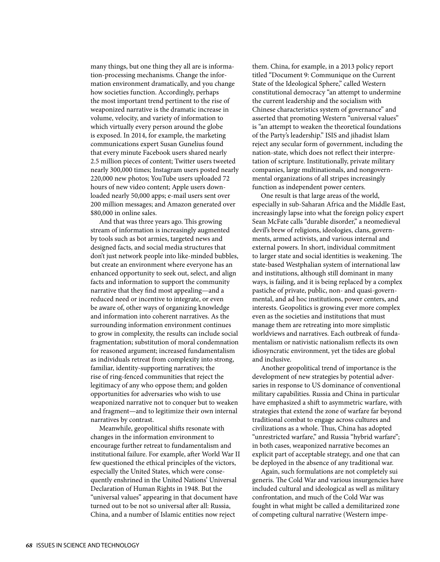many things, but one thing they all are is information-processing mechanisms. Change the information environment dramatically, and you change how societies function. Accordingly, perhaps the most important trend pertinent to the rise of weaponized narrative is the dramatic increase in volume, velocity, and variety of information to which virtually every person around the globe is exposed. In 2014, for example, the marketing communications expert Susan Gunelius found that every minute Facebook users shared nearly 2.5 million pieces of content; Twitter users tweeted nearly 300,000 times; Instagram users posted nearly 220,000 new photos; YouTube users uploaded 72 hours of new video content; Apple users downloaded nearly 50,000 apps; e-mail users sent over 200 million messages; and Amazon generated over \$80,000 in online sales.

And that was three years ago. This growing stream of information is increasingly augmented by tools such as bot armies, targeted news and designed facts, and social media structures that don't just network people into like-minded bubbles, but create an environment where everyone has an enhanced opportunity to seek out, select, and align facts and information to support the community narrative that they find most appealing—and a reduced need or incentive to integrate, or even be aware of, other ways of organizing knowledge and information into coherent narratives. As the surrounding information environment continues to grow in complexity, the results can include social fragmentation; substitution of moral condemnation for reasoned argument; increased fundamentalism as individuals retreat from complexity into strong, familiar, identity-supporting narratives; the rise of ring-fenced communities that reject the legitimacy of any who oppose them; and golden opportunities for adversaries who wish to use weaponized narrative not to conquer but to weaken and fragment—and to legitimize their own internal narratives by contrast.

Meanwhile, geopolitical shifts resonate with changes in the information environment to encourage further retreat to fundamentalism and institutional failure. For example, after World War II few questioned the ethical principles of the victors, especially the United States, which were consequently enshrined in the United Nations' Universal Declaration of Human Rights in 1948. But the "universal values" appearing in that document have turned out to be not so universal after all: Russia, China, and a number of Islamic entities now reject

them. China, for example, in a 2013 policy report titled "Document 9: Communique on the Current State of the Ideological Sphere," called Western constitutional democracy "an attempt to undermine the current leadership and the socialism with Chinese characteristics system of governance" and asserted that promoting Western "universal values" is "an attempt to weaken the theoretical foundations of the Party's leadership." ISIS and jihadist Islam reject any secular form of government, including the nation-state, which does not reflect their interpretation of scripture. Institutionally, private military companies, large multinationals, and nongovernmental organizations of all stripes increasingly function as independent power centers.

One result is that large areas of the world, especially in sub-Saharan Africa and the Middle East, increasingly lapse into what the foreign policy expert Sean McFate calls "durable disorder," a neomedieval devil's brew of religions, ideologies, clans, governments, armed activists, and various internal and external powers. In short, individual commitment to larger state and social identities is weakening. The state-based Westphalian system of international law and institutions, although still dominant in many ways, is failing, and it is being replaced by a complex pastiche of private, public, non- and quasi-governmental, and ad hoc institutions, power centers, and interests. Geopolitics is growing ever more complex even as the societies and institutions that must manage them are retreating into more simplistic worldviews and narratives. Each outbreak of fundamentalism or nativistic nationalism reflects its own idiosyncratic environment, yet the tides are global and inclusive.

Another geopolitical trend of importance is the development of new strategies by potential adversaries in response to US dominance of conventional military capabilities. Russia and China in particular have emphasized a shift to asymmetric warfare, with strategies that extend the zone of warfare far beyond traditional combat to engage across cultures and civilizations as a whole. Thus, China has adopted "unrestricted warfare," and Russia "hybrid warfare"; in both cases, weaponized narrative becomes an explicit part of acceptable strategy, and one that can be deployed in the absence of any traditional war.

Again, such formulations are not completely sui generis. The Cold War and various insurgencies have included cultural and ideological as well as military confrontation, and much of the Cold War was fought in what might be called a demilitarized zone of competing cultural narrative (Western impe-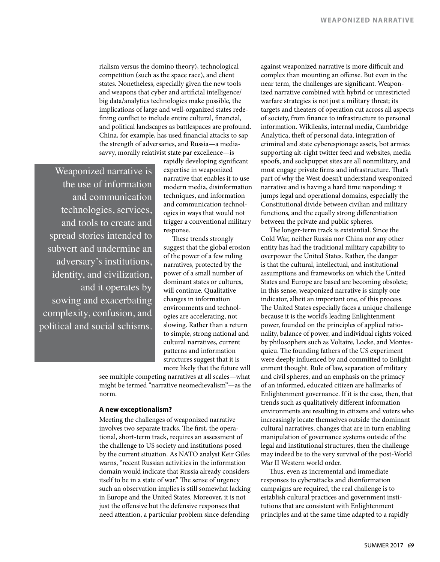rialism versus the domino theory), technological competition (such as the space race), and client states. Nonetheless, especially given the new tools and weapons that cyber and artificial intelligence/ big data/analytics technologies make possible, the implications of large and well-organized states redefining conflict to include entire cultural, financial, and political landscapes as battlespaces are profound. China, for example, has used financial attacks to sap the strength of adversaries, and Russia—a mediasavvy, morally relativist state par excellence—is

Weaponized narrative is the use of information and communication technologies, services, and tools to create and spread stories intended to subvert and undermine an adversary's institutions, identity, and civilization, and it operates by sowing and exacerbating complexity, confusion, and political and social schisms.

rapidly developing significant expertise in weaponized narrative that enables it to use modern media, disinformation techniques, and information and communication technologies in ways that would not trigger a conventional military response.

These trends strongly suggest that the global erosion of the power of a few ruling narratives, protected by the power of a small number of dominant states or cultures, will continue. Qualitative changes in information environments and technologies are accelerating, not slowing. Rather than a return to simple, strong national and cultural narratives, current patterns and information structures suggest that it is more likely that the future will

see multiple competing narratives at all scales—what might be termed "narrative neomedievalism"—as the norm.

#### **A new exceptionalism?**

Meeting the challenges of weaponized narrative involves two separate tracks. The first, the operational, short-term track, requires an assessment of the challenge to US society and institutions posed by the current situation. As NATO analyst Keir Giles warns, "recent Russian activities in the information domain would indicate that Russia already considers itself to be in a state of war." The sense of urgency such an observation implies is still somewhat lacking in Europe and the United States. Moreover, it is not just the offensive but the defensive responses that need attention, a particular problem since defending

against weaponized narrative is more difficult and complex than mounting an offense. But even in the near term, the challenges are significant. Weaponized narrative combined with hybrid or unrestricted warfare strategies is not just a military threat; its targets and theaters of operation cut across all aspects of society, from finance to infrastructure to personal information. Wikileaks, internal media, Cambridge Analytica, theft of personal data, integration of criminal and state cyberespionage assets, bot armies supporting alt-right twitter feed and websites, media spoofs, and sockpuppet sites are all nonmilitary, and most engage private firms and infrastructure. That's part of why the West doesn't understand weaponized narrative and is having a hard time responding: it jumps legal and operational domains, especially the Constitutional divide between civilian and military functions, and the equally strong differentiation between the private and public spheres.

The longer-term track is existential. Since the Cold War, neither Russia nor China nor any other entity has had the traditional military capability to overpower the United States. Rather, the danger is that the cultural, intellectual, and institutional assumptions and frameworks on which the United States and Europe are based are becoming obsolete; in this sense, weaponized narrative is simply one indicator, albeit an important one, of this process. The United States especially faces a unique challenge because it is the world's leading Enlightenment power, founded on the principles of applied rationality, balance of power, and individual rights voiced by philosophers such as Voltaire, Locke, and Montesquieu. The founding fathers of the US experiment were deeply influenced by and committed to Enlightenment thought. Rule of law, separation of military and civil spheres, and an emphasis on the primacy of an informed, educated citizen are hallmarks of Enlightenment governance. If it is the case, then, that trends such as qualitatively different information environments are resulting in citizens and voters who increasingly locate themselves outside the dominant cultural narratives, changes that are in turn enabling manipulation of governance systems outside of the legal and institutional structures, then the challenge may indeed be to the very survival of the post-World War II Western world order.

Thus, even as incremental and immediate responses to cyberattacks and disinformation campaigns are required, the real challenge is to establish cultural practices and government institutions that are consistent with Enlightenment principles and at the same time adapted to a rapidly